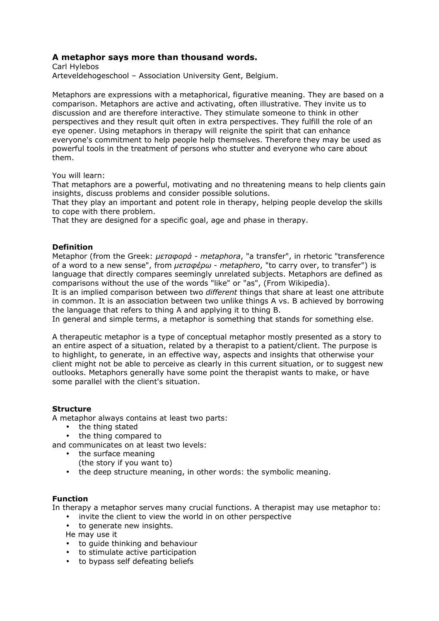# A metaphor says more than thousand words.

Carl Hylebos Arteveldehogeschool – Association University Gent, Belgium.

Metaphors are expressions with a metaphorical, figurative meaning. They are based on a comparison. Metaphors are active and activating, often illustrative. They invite us to discussion and are therefore interactive. They stimulate someone to think in other perspectives and they result quit often in extra perspectives. They fulfill the role of an eye opener. Using metaphors in therapy will reignite the spirit that can enhance everyone's commitment to help people help themselves. Therefore they may be used as powerful tools in the treatment of persons who stutter and everyone who care about them.

You will learn:

That metaphors are a powerful, motivating and no threatening means to help clients gain insights, discuss problems and consider possible solutions.

That they play an important and potent role in therapy, helping people develop the skills to cope with there problem.

That they are designed for a specific goal, age and phase in therapy.

### **Definition**

Metaphor (from the Greek: µεταφορά - metaphora, "a transfer", in rhetoric "transference of a word to a new sense", from  $\mu \bar{\epsilon} \tau \alpha \varphi \epsilon \rho \omega$  - metaphero, "to carry over, to transfer") is language that directly compares seemingly unrelated subjects. Metaphors are defined as comparisons without the use of the words "like" or "as", (From Wikipedia).

It is an implied comparison between two *different* things that share at least one attribute in common. It is an association between two unlike things A vs. B achieved by borrowing the language that refers to thing A and applying it to thing B.

In general and simple terms, a metaphor is something that stands for something else.

A therapeutic metaphor is a type of conceptual metaphor mostly presented as a story to an entire aspect of a situation, related by a therapist to a patient/client. The purpose is to highlight, to generate, in an effective way, aspects and insights that otherwise your client might not be able to perceive as clearly in this current situation, or to suggest new outlooks. Metaphors generally have some point the therapist wants to make, or have some parallel with the client's situation.

### **Structure**

A metaphor always contains at least two parts:

- the thing stated
- the thing compared to

and communicates on at least two levels:

- the surface meaning
	- (the story if you want to)
- the deep structure meaning, in other words: the symbolic meaning.

### Function

In therapy a metaphor serves many crucial functions. A therapist may use metaphor to:

- invite the client to view the world in on other perspective
- to generate new insights.

He may use it

- to guide thinking and behaviour
- to stimulate active participation
- to bypass self defeating beliefs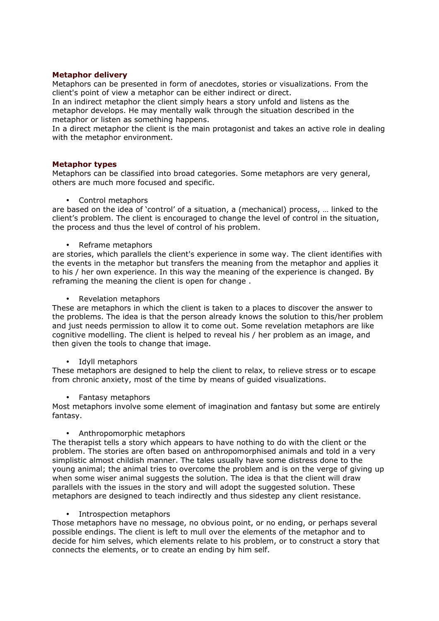### Metaphor delivery

Metaphors can be presented in form of anecdotes, stories or visualizations. From the client's point of view a metaphor can be either indirect or direct.

In an indirect metaphor the client simply hears a story unfold and listens as the metaphor develops. He may mentally walk through the situation described in the metaphor or listen as something happens.

In a direct metaphor the client is the main protagonist and takes an active role in dealing with the metaphor environment.

### Metaphor types

Metaphors can be classified into broad categories. Some metaphors are very general, others are much more focused and specific.

• Control metaphors

are based on the idea of 'control' of a situation, a (mechanical) process, … linked to the client's problem. The client is encouraged to change the level of control in the situation, the process and thus the level of control of his problem.

• Reframe metaphors

are stories, which parallels the client's experience in some way. The client identifies with the events in the metaphor but transfers the meaning from the metaphor and applies it to his / her own experience. In this way the meaning of the experience is changed. By reframing the meaning the client is open for change .

• Revelation metaphors

These are metaphors in which the client is taken to a places to discover the answer to the problems. The idea is that the person already knows the solution to this/her problem and just needs permission to allow it to come out. Some revelation metaphors are like cognitive modelling. The client is helped to reveal his / her problem as an image, and then given the tools to change that image.

#### • Idyll metaphors

These metaphors are designed to help the client to relax, to relieve stress or to escape from chronic anxiety, most of the time by means of guided visualizations.

• Fantasy metaphors

Most metaphors involve some element of imagination and fantasy but some are entirely fantasy.

### • Anthropomorphic metaphors

The therapist tells a story which appears to have nothing to do with the client or the problem. The stories are often based on anthropomorphised animals and told in a very simplistic almost childish manner. The tales usually have some distress done to the young animal; the animal tries to overcome the problem and is on the verge of giving up when some wiser animal suggests the solution. The idea is that the client will draw parallels with the issues in the story and will adopt the suggested solution. These metaphors are designed to teach indirectly and thus sidestep any client resistance.

#### • Introspection metaphors

Those metaphors have no message, no obvious point, or no ending, or perhaps several possible endings. The client is left to mull over the elements of the metaphor and to decide for him selves, which elements relate to his problem, or to construct a story that connects the elements, or to create an ending by him self.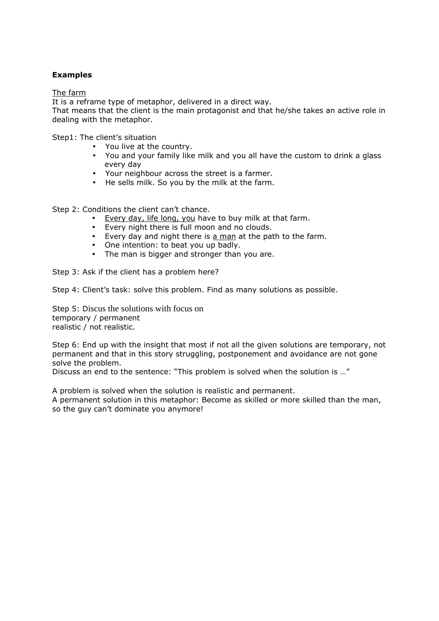## Examples

The farm

It is a reframe type of metaphor, delivered in a direct way.

That means that the client is the main protagonist and that he/she takes an active role in dealing with the metaphor.

Step1: The client's situation

- You live at the country.
- You and your family like milk and you all have the custom to drink a glass every day
- Your neighbour across the street is a farmer.
- He sells milk. So you by the milk at the farm.

Step 2: Conditions the client can't chance.

- Every day, life long, you have to buy milk at that farm.
- Every night there is full moon and no clouds.
- Every day and night there is a man at the path to the farm.
- One intention: to beat you up badly.
- The man is bigger and stronger than you are.

Step 3: Ask if the client has a problem here?

Step 4: Client's task: solve this problem. Find as many solutions as possible.

Step 5: Discus the solutions with focus on temporary / permanent realistic / not realistic.

Step 6: End up with the insight that most if not all the given solutions are temporary, not permanent and that in this story struggling, postponement and avoidance are not gone solve the problem.

Discuss an end to the sentence: "This problem is solved when the solution is …"

A problem is solved when the solution is realistic and permanent.

A permanent solution in this metaphor: Become as skilled or more skilled than the man, so the guy can't dominate you anymore!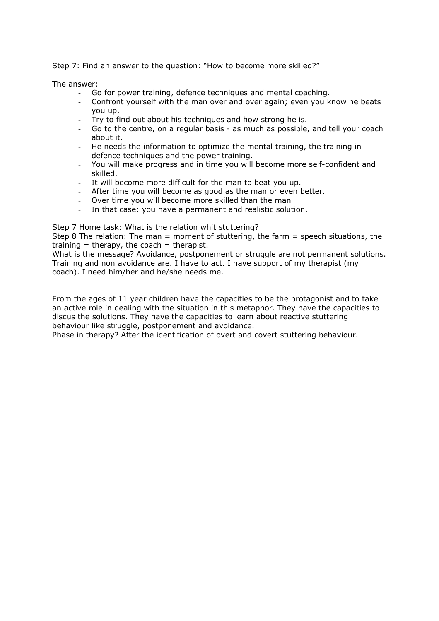Step 7: Find an answer to the question: "How to become more skilled?"

The answer:

- Go for power training, defence techniques and mental coaching.
- Confront yourself with the man over and over again; even you know he beats you up.
- Try to find out about his techniques and how strong he is.
- Go to the centre, on a regular basis as much as possible, and tell your coach about it.
- He needs the information to optimize the mental training, the training in defence techniques and the power training.
- You will make progress and in time you will become more self-confident and skilled.
- It will become more difficult for the man to beat you up.
- After time you will become as good as the man or even better.
- Over time you will become more skilled than the man
- In that case: you have a permanent and realistic solution.

Step 7 Home task: What is the relation whit stuttering?

Step 8 The relation: The man = moment of stuttering, the farm = speech situations, the training  $=$  therapy, the coach  $=$  therapist.

What is the message? Avoidance, postponement or struggle are not permanent solutions. Training and non avoidance are. I have to act. I have support of my therapist (my coach). I need him/her and he/she needs me.

From the ages of 11 year children have the capacities to be the protagonist and to take an active role in dealing with the situation in this metaphor. They have the capacities to discus the solutions. They have the capacities to learn about reactive stuttering behaviour like struggle, postponement and avoidance.

Phase in therapy? After the identification of overt and covert stuttering behaviour.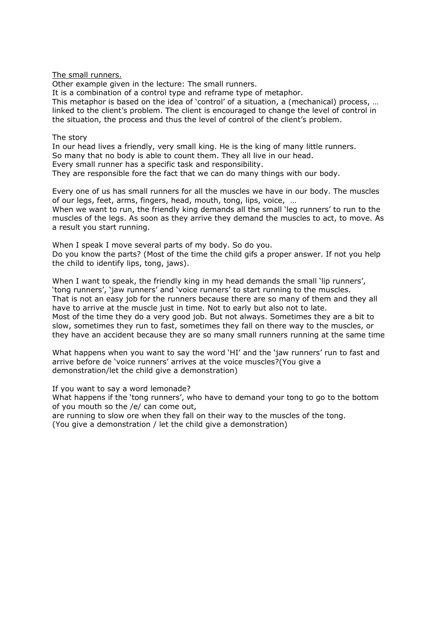The small runners.

Other example given in the lecture: The small runners.

It is a combination of a control type and reframe type of metaphor.

This metaphor is based on the idea of 'control' of a situation, a (mechanical) process, … linked to the client's problem. The client is encouraged to change the level of control in the situation, the process and thus the level of control of the client's problem.

### The story

In our head lives a friendly, very small king. He is the king of many little runners. So many that no body is able to count them. They all live in our head. Every small runner has a specific task and responsibility. They are responsible fore the fact that we can do many things with our body.

Every one of us has small runners for all the muscles we have in our body. The muscles of our legs, feet, arms, fingers, head, mouth, tong, lips, voice, …

When we want to run, the friendly king demands all the small 'leg runners' to run to the muscles of the legs. As soon as they arrive they demand the muscles to act, to move. As a result you start running.

When I speak I move several parts of my body. So do you. Do you know the parts? (Most of the time the child gifs a proper answer. If not you help the child to identify lips, tong, jaws).

When I want to speak, the friendly king in my head demands the small 'lip runners', 'tong runners', 'jaw runners' and 'voice runners' to start running to the muscles. That is not an easy job for the runners because there are so many of them and they all have to arrive at the muscle just in time. Not to early but also not to late. Most of the time they do a very good job. But not always. Sometimes they are a bit to slow, sometimes they run to fast, sometimes they fall on there way to the muscles, or they have an accident because they are so many small runners running at the same time

What happens when you want to say the word 'HI' and the 'jaw runners' run to fast and arrive before de 'voice runners' arrives at the voice muscles?(You give a demonstration/let the child give a demonstration)

If you want to say a word lemonade? What happens if the 'tong runners', who have to demand your tong to go to the bottom of you mouth so the /e/ can come out,

are running to slow ore when they fall on their way to the muscles of the tong. (You give a demonstration / let the child give a demonstration)